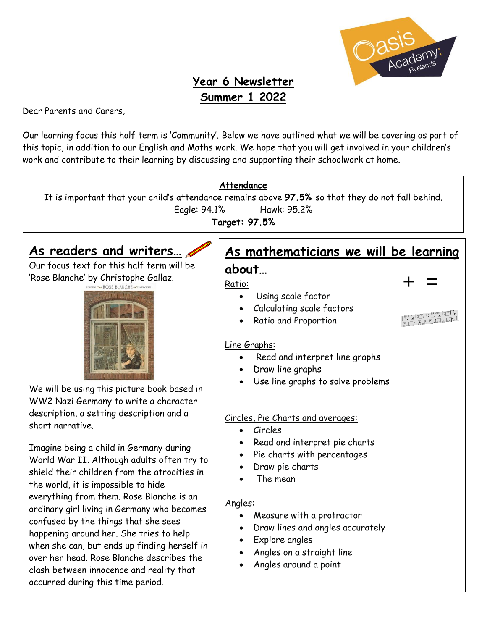

## **Year 6 Newsletter Summer 1 2022**

Dear Parents and Carers,

Our learning focus this half term is 'Community'. Below we have outlined what we will be covering as part of this topic, in addition to our English and Maths work. We hope that you will get involved in your children's work and contribute to their learning by discussing and supporting their schoolwork at home.